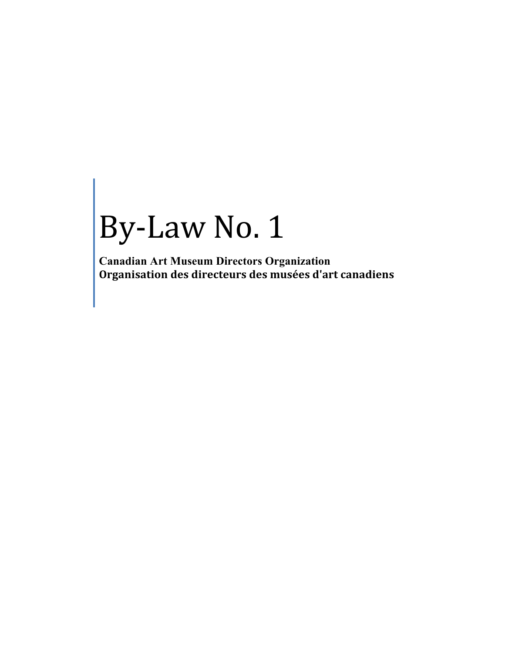# By-Law No. 1

**Canadian Art Museum Directors Organization Organisation des directeurs des musées d'art canadiens**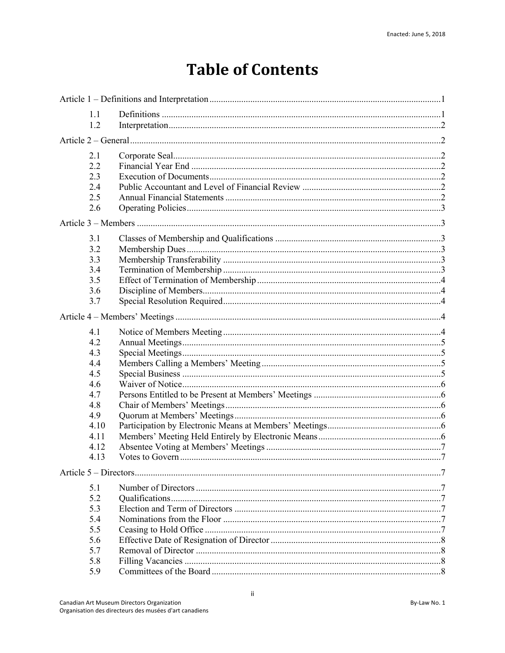# **Table of Contents**

| 1.1  |  |  |  |
|------|--|--|--|
| 1.2  |  |  |  |
|      |  |  |  |
| 2.1  |  |  |  |
| 2.2  |  |  |  |
| 2.3  |  |  |  |
| 2.4  |  |  |  |
| 2.5  |  |  |  |
| 2.6  |  |  |  |
|      |  |  |  |
| 3.1  |  |  |  |
| 3.2  |  |  |  |
| 3.3  |  |  |  |
| 3.4  |  |  |  |
| 3.5  |  |  |  |
| 3.6  |  |  |  |
| 3.7  |  |  |  |
|      |  |  |  |
| 4.1  |  |  |  |
| 4.2  |  |  |  |
| 4.3  |  |  |  |
| 4.4  |  |  |  |
| 4.5  |  |  |  |
| 4.6  |  |  |  |
| 4.7  |  |  |  |
| 4.8  |  |  |  |
| 4.9  |  |  |  |
| 4.10 |  |  |  |
| 4.11 |  |  |  |
| 4.12 |  |  |  |
| 4.13 |  |  |  |
|      |  |  |  |
| 5.1  |  |  |  |
| 5.2  |  |  |  |
| 5.3  |  |  |  |
| 5.4  |  |  |  |
| 5.5  |  |  |  |
| 5.6  |  |  |  |
| 5.7  |  |  |  |
| 5.8  |  |  |  |
| 5.9  |  |  |  |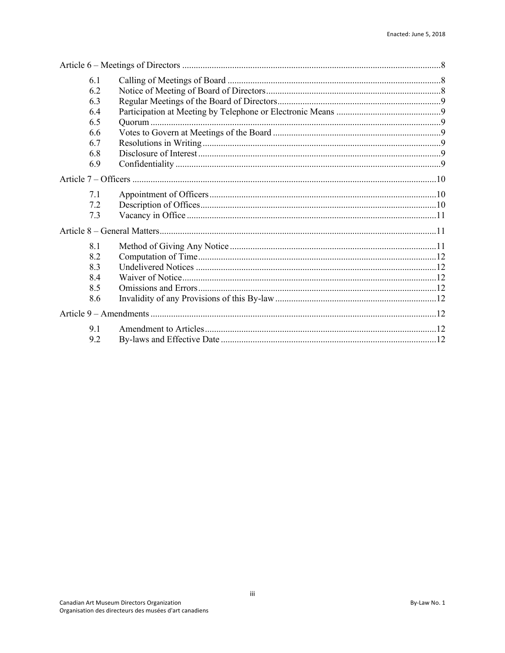| 6.1 |  |  |
|-----|--|--|
| 6.2 |  |  |
| 6.3 |  |  |
| 6.4 |  |  |
| 6.5 |  |  |
| 6.6 |  |  |
| 6.7 |  |  |
| 6.8 |  |  |
| 6.9 |  |  |
|     |  |  |
| 7.1 |  |  |
| 7.2 |  |  |
| 7.3 |  |  |
|     |  |  |
| 8.1 |  |  |
| 8.2 |  |  |
| 8.3 |  |  |
| 8.4 |  |  |
| 8.5 |  |  |
| 8.6 |  |  |
|     |  |  |
| 9.1 |  |  |
| 9.2 |  |  |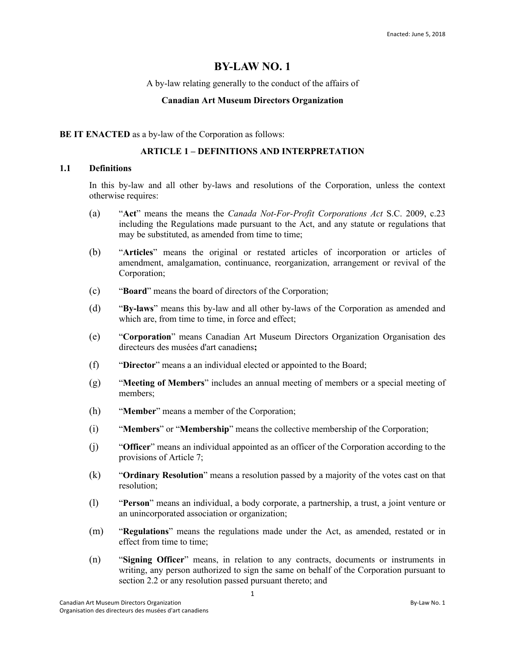# **BY-LAW NO. 1**

#### A by-law relating generally to the conduct of the affairs of

#### **Canadian Art Museum Directors Organization**

#### **BE IT ENACTED** as a by-law of the Corporation as follows:

# **ARTICLE 1 – DEFINITIONS AND INTERPRETATION**

# **1.1 Definitions**

In this by-law and all other by-laws and resolutions of the Corporation, unless the context otherwise requires:

- (a) "**Act**" means the means the *Canada Not-For-Profit Corporations Act* S.C. 2009, c.23 including the Regulations made pursuant to the Act, and any statute or regulations that may be substituted, as amended from time to time;
- (b) "**Articles**" means the original or restated articles of incorporation or articles of amendment, amalgamation, continuance, reorganization, arrangement or revival of the Corporation;
- (c) "**Board**" means the board of directors of the Corporation;
- (d) "**By-laws**" means this by-law and all other by-laws of the Corporation as amended and which are, from time to time, in force and effect;
- (e) "**Corporation**" means Canadian Art Museum Directors Organization Organisation des directeurs des musées d'art canadiens**;**
- (f) "**Director**" means a an individual elected or appointed to the Board;
- (g) "**Meeting of Members**" includes an annual meeting of members or a special meeting of members;
- (h) "**Member**" means a member of the Corporation;
- (i) "**Members**" or "**Membership**" means the collective membership of the Corporation;
- (j) "**Officer**" means an individual appointed as an officer of the Corporation according to the provisions of Article 7;
- (k) "**Ordinary Resolution**" means a resolution passed by a majority of the votes cast on that resolution;
- (l) "**Person**" means an individual, a body corporate, a partnership, a trust, a joint venture or an unincorporated association or organization;
- (m) "**Regulations**" means the regulations made under the Act, as amended, restated or in effect from time to time;
- (n) "**Signing Officer**" means, in relation to any contracts, documents or instruments in writing, any person authorized to sign the same on behalf of the Corporation pursuant to section 2.2 or any resolution passed pursuant thereto; and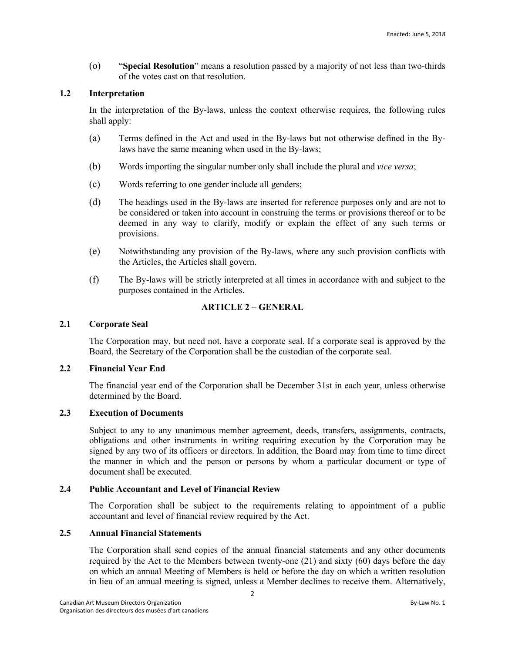(o) "**Special Resolution**" means a resolution passed by a majority of not less than two-thirds of the votes cast on that resolution.

# **1.2 Interpretation**

In the interpretation of the By-laws, unless the context otherwise requires, the following rules shall apply:

- (a) Terms defined in the Act and used in the By-laws but not otherwise defined in the Bylaws have the same meaning when used in the By-laws;
- (b) Words importing the singular number only shall include the plural and *vice versa*;
- (c) Words referring to one gender include all genders;
- (d) The headings used in the By-laws are inserted for reference purposes only and are not to be considered or taken into account in construing the terms or provisions thereof or to be deemed in any way to clarify, modify or explain the effect of any such terms or provisions.
- (e) Notwithstanding any provision of the By-laws, where any such provision conflicts with the Articles, the Articles shall govern.
- (f) The By-laws will be strictly interpreted at all times in accordance with and subject to the purposes contained in the Articles.

# **ARTICLE 2 – GENERAL**

# **2.1 Corporate Seal**

The Corporation may, but need not, have a corporate seal. If a corporate seal is approved by the Board, the Secretary of the Corporation shall be the custodian of the corporate seal.

# **2.2 Financial Year End**

The financial year end of the Corporation shall be December 31st in each year, unless otherwise determined by the Board.

# **2.3 Execution of Documents**

Subject to any to any unanimous member agreement, deeds, transfers, assignments, contracts, obligations and other instruments in writing requiring execution by the Corporation may be signed by any two of its officers or directors. In addition, the Board may from time to time direct the manner in which and the person or persons by whom a particular document or type of document shall be executed.

# **2.4 Public Accountant and Level of Financial Review**

The Corporation shall be subject to the requirements relating to appointment of a public accountant and level of financial review required by the Act.

# **2.5 Annual Financial Statements**

The Corporation shall send copies of the annual financial statements and any other documents required by the Act to the Members between twenty-one  $(21)$  and sixty  $(60)$  days before the day on which an annual Meeting of Members is held or before the day on which a written resolution in lieu of an annual meeting is signed, unless a Member declines to receive them. Alternatively,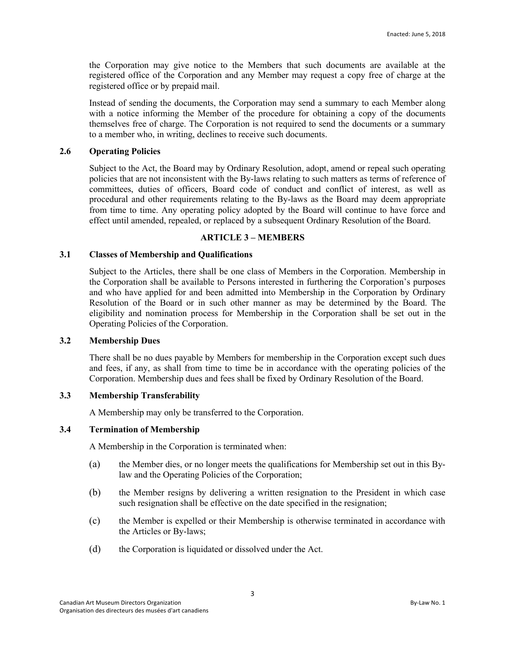the Corporation may give notice to the Members that such documents are available at the registered office of the Corporation and any Member may request a copy free of charge at the registered office or by prepaid mail.

Instead of sending the documents, the Corporation may send a summary to each Member along with a notice informing the Member of the procedure for obtaining a copy of the documents themselves free of charge. The Corporation is not required to send the documents or a summary to a member who, in writing, declines to receive such documents.

# **2.6 Operating Policies**

Subject to the Act, the Board may by Ordinary Resolution, adopt, amend or repeal such operating policies that are not inconsistent with the By-laws relating to such matters as terms of reference of committees, duties of officers, Board code of conduct and conflict of interest, as well as procedural and other requirements relating to the By-laws as the Board may deem appropriate from time to time. Any operating policy adopted by the Board will continue to have force and effect until amended, repealed, or replaced by a subsequent Ordinary Resolution of the Board.

# **ARTICLE 3 – MEMBERS**

# **3.1 Classes of Membership and Qualifications**

Subject to the Articles, there shall be one class of Members in the Corporation. Membership in the Corporation shall be available to Persons interested in furthering the Corporation's purposes and who have applied for and been admitted into Membership in the Corporation by Ordinary Resolution of the Board or in such other manner as may be determined by the Board. The eligibility and nomination process for Membership in the Corporation shall be set out in the Operating Policies of the Corporation.

# **3.2 Membership Dues**

There shall be no dues payable by Members for membership in the Corporation except such dues and fees, if any, as shall from time to time be in accordance with the operating policies of the Corporation. Membership dues and fees shall be fixed by Ordinary Resolution of the Board.

# **3.3 Membership Transferability**

A Membership may only be transferred to the Corporation.

#### **3.4 Termination of Membership**

A Membership in the Corporation is terminated when:

- (a) the Member dies, or no longer meets the qualifications for Membership set out in this Bylaw and the Operating Policies of the Corporation;
- (b) the Member resigns by delivering a written resignation to the President in which case such resignation shall be effective on the date specified in the resignation;
- (c) the Member is expelled or their Membership is otherwise terminated in accordance with the Articles or By-laws;
- (d) the Corporation is liquidated or dissolved under the Act.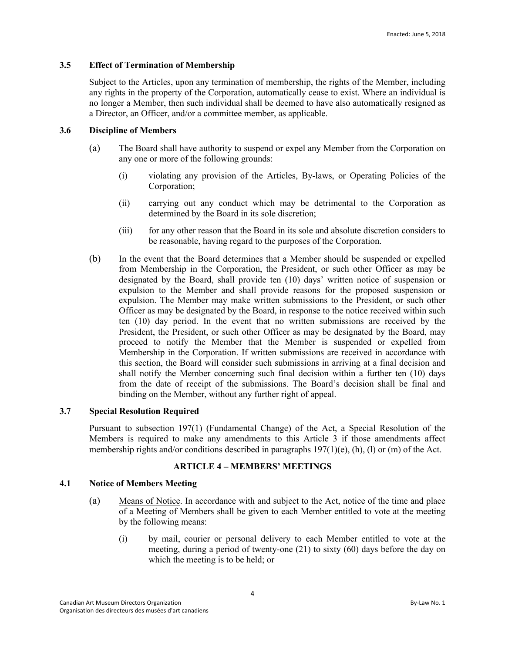# **3.5 Effect of Termination of Membership**

Subject to the Articles, upon any termination of membership, the rights of the Member, including any rights in the property of the Corporation, automatically cease to exist. Where an individual is no longer a Member, then such individual shall be deemed to have also automatically resigned as a Director, an Officer, and/or a committee member, as applicable.

# **3.6 Discipline of Members**

- (a) The Board shall have authority to suspend or expel any Member from the Corporation on any one or more of the following grounds:
	- (i) violating any provision of the Articles, By-laws, or Operating Policies of the Corporation;
	- (ii) carrying out any conduct which may be detrimental to the Corporation as determined by the Board in its sole discretion;
	- (iii) for any other reason that the Board in its sole and absolute discretion considers to be reasonable, having regard to the purposes of the Corporation.
- (b) In the event that the Board determines that a Member should be suspended or expelled from Membership in the Corporation, the President, or such other Officer as may be designated by the Board, shall provide ten (10) days' written notice of suspension or expulsion to the Member and shall provide reasons for the proposed suspension or expulsion. The Member may make written submissions to the President, or such other Officer as may be designated by the Board, in response to the notice received within such ten (10) day period. In the event that no written submissions are received by the President, the President, or such other Officer as may be designated by the Board, may proceed to notify the Member that the Member is suspended or expelled from Membership in the Corporation. If written submissions are received in accordance with this section, the Board will consider such submissions in arriving at a final decision and shall notify the Member concerning such final decision within a further ten (10) days from the date of receipt of the submissions. The Board's decision shall be final and binding on the Member, without any further right of appeal.

#### **3.7 Special Resolution Required**

Pursuant to subsection 197(1) (Fundamental Change) of the Act, a Special Resolution of the Members is required to make any amendments to this Article 3 if those amendments affect membership rights and/or conditions described in paragraphs 197(1)(e), (h), (l) or (m) of the Act.

#### **ARTICLE 4 – MEMBERS' MEETINGS**

#### **4.1 Notice of Members Meeting**

- (a) Means of Notice. In accordance with and subject to the Act, notice of the time and place of a Meeting of Members shall be given to each Member entitled to vote at the meeting by the following means:
	- (i) by mail, courier or personal delivery to each Member entitled to vote at the meeting, during a period of twenty-one (21) to sixty (60) days before the day on which the meeting is to be held; or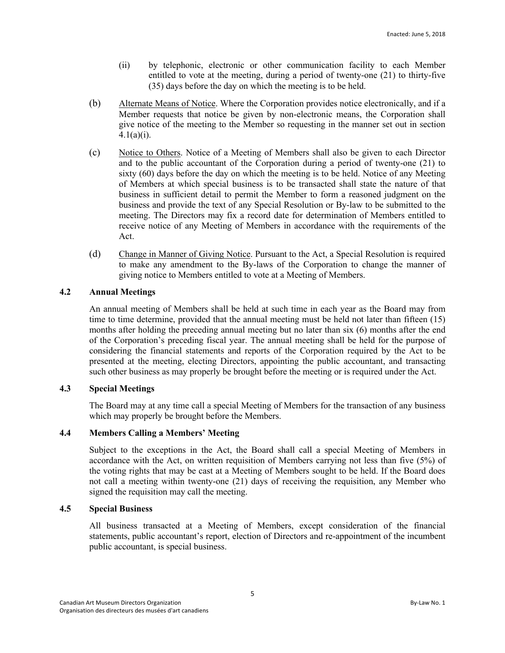- (ii) by telephonic, electronic or other communication facility to each Member entitled to vote at the meeting, during a period of twenty-one (21) to thirty-five (35) days before the day on which the meeting is to be held.
- (b) Alternate Means of Notice. Where the Corporation provides notice electronically, and if a Member requests that notice be given by non-electronic means, the Corporation shall give notice of the meeting to the Member so requesting in the manner set out in section  $4.1(a)(i)$ .
- (c) Notice to Others. Notice of a Meeting of Members shall also be given to each Director and to the public accountant of the Corporation during a period of twenty-one (21) to sixty (60) days before the day on which the meeting is to be held. Notice of any Meeting of Members at which special business is to be transacted shall state the nature of that business in sufficient detail to permit the Member to form a reasoned judgment on the business and provide the text of any Special Resolution or By-law to be submitted to the meeting. The Directors may fix a record date for determination of Members entitled to receive notice of any Meeting of Members in accordance with the requirements of the Act.
- (d) Change in Manner of Giving Notice. Pursuant to the Act, a Special Resolution is required to make any amendment to the By-laws of the Corporation to change the manner of giving notice to Members entitled to vote at a Meeting of Members.

# **4.2 Annual Meetings**

An annual meeting of Members shall be held at such time in each year as the Board may from time to time determine, provided that the annual meeting must be held not later than fifteen (15) months after holding the preceding annual meeting but no later than six (6) months after the end of the Corporation's preceding fiscal year. The annual meeting shall be held for the purpose of considering the financial statements and reports of the Corporation required by the Act to be presented at the meeting, electing Directors, appointing the public accountant, and transacting such other business as may properly be brought before the meeting or is required under the Act.

# **4.3 Special Meetings**

The Board may at any time call a special Meeting of Members for the transaction of any business which may properly be brought before the Members.

# **4.4 Members Calling a Members' Meeting**

Subject to the exceptions in the Act, the Board shall call a special Meeting of Members in accordance with the Act, on written requisition of Members carrying not less than five (5%) of the voting rights that may be cast at a Meeting of Members sought to be held. If the Board does not call a meeting within twenty-one (21) days of receiving the requisition, any Member who signed the requisition may call the meeting.

# **4.5 Special Business**

All business transacted at a Meeting of Members, except consideration of the financial statements, public accountant's report, election of Directors and re-appointment of the incumbent public accountant, is special business.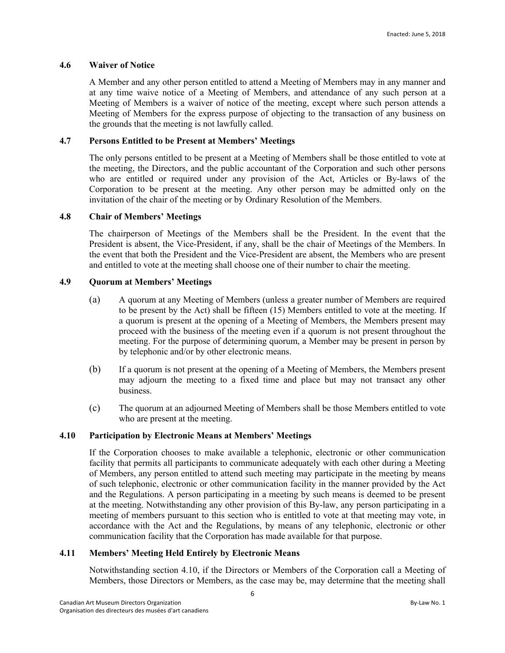# **4.6 Waiver of Notice**

A Member and any other person entitled to attend a Meeting of Members may in any manner and at any time waive notice of a Meeting of Members, and attendance of any such person at a Meeting of Members is a waiver of notice of the meeting, except where such person attends a Meeting of Members for the express purpose of objecting to the transaction of any business on the grounds that the meeting is not lawfully called.

# **4.7 Persons Entitled to be Present at Members' Meetings**

The only persons entitled to be present at a Meeting of Members shall be those entitled to vote at the meeting, the Directors, and the public accountant of the Corporation and such other persons who are entitled or required under any provision of the Act, Articles or By-laws of the Corporation to be present at the meeting. Any other person may be admitted only on the invitation of the chair of the meeting or by Ordinary Resolution of the Members.

# **4.8 Chair of Members' Meetings**

The chairperson of Meetings of the Members shall be the President. In the event that the President is absent, the Vice-President, if any, shall be the chair of Meetings of the Members. In the event that both the President and the Vice-President are absent, the Members who are present and entitled to vote at the meeting shall choose one of their number to chair the meeting.

# **4.9 Quorum at Members' Meetings**

- (a) A quorum at any Meeting of Members (unless a greater number of Members are required to be present by the Act) shall be fifteen (15) Members entitled to vote at the meeting. If a quorum is present at the opening of a Meeting of Members, the Members present may proceed with the business of the meeting even if a quorum is not present throughout the meeting. For the purpose of determining quorum, a Member may be present in person by by telephonic and/or by other electronic means.
- (b) If a quorum is not present at the opening of a Meeting of Members, the Members present may adjourn the meeting to a fixed time and place but may not transact any other business.
- (c) The quorum at an adjourned Meeting of Members shall be those Members entitled to vote who are present at the meeting.

# **4.10 Participation by Electronic Means at Members' Meetings**

If the Corporation chooses to make available a telephonic, electronic or other communication facility that permits all participants to communicate adequately with each other during a Meeting of Members, any person entitled to attend such meeting may participate in the meeting by means of such telephonic, electronic or other communication facility in the manner provided by the Act and the Regulations. A person participating in a meeting by such means is deemed to be present at the meeting. Notwithstanding any other provision of this By-law, any person participating in a meeting of members pursuant to this section who is entitled to vote at that meeting may vote, in accordance with the Act and the Regulations, by means of any telephonic, electronic or other communication facility that the Corporation has made available for that purpose.

# **4.11 Members' Meeting Held Entirely by Electronic Means**

Notwithstanding section 4.10, if the Directors or Members of the Corporation call a Meeting of Members, those Directors or Members, as the case may be, may determine that the meeting shall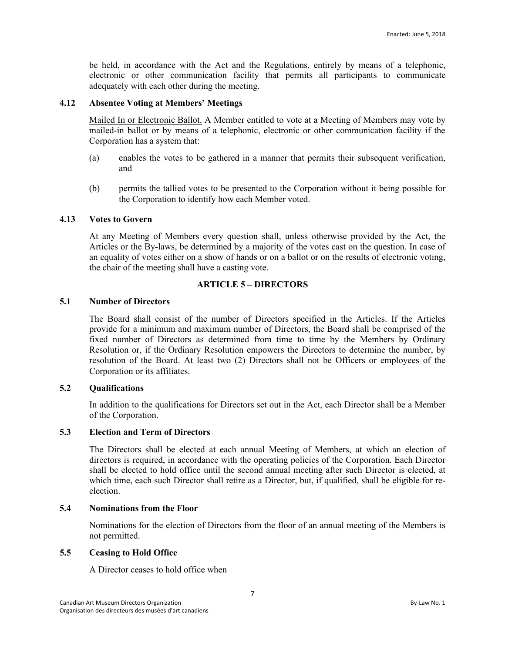be held, in accordance with the Act and the Regulations, entirely by means of a telephonic, electronic or other communication facility that permits all participants to communicate adequately with each other during the meeting.

# **4.12 Absentee Voting at Members' Meetings**

Mailed In or Electronic Ballot. A Member entitled to vote at a Meeting of Members may vote by mailed-in ballot or by means of a telephonic, electronic or other communication facility if the Corporation has a system that:

- (a) enables the votes to be gathered in a manner that permits their subsequent verification, and
- (b) permits the tallied votes to be presented to the Corporation without it being possible for the Corporation to identify how each Member voted.

#### **4.13 Votes to Govern**

At any Meeting of Members every question shall, unless otherwise provided by the Act, the Articles or the By-laws, be determined by a majority of the votes cast on the question. In case of an equality of votes either on a show of hands or on a ballot or on the results of electronic voting, the chair of the meeting shall have a casting vote.

# **ARTICLE 5 – DIRECTORS**

# **5.1 Number of Directors**

The Board shall consist of the number of Directors specified in the Articles. If the Articles provide for a minimum and maximum number of Directors, the Board shall be comprised of the fixed number of Directors as determined from time to time by the Members by Ordinary Resolution or, if the Ordinary Resolution empowers the Directors to determine the number, by resolution of the Board. At least two (2) Directors shall not be Officers or employees of the Corporation or its affiliates.

# **5.2 Qualifications**

In addition to the qualifications for Directors set out in the Act, each Director shall be a Member of the Corporation.

# **5.3 Election and Term of Directors**

The Directors shall be elected at each annual Meeting of Members, at which an election of directors is required, in accordance with the operating policies of the Corporation. Each Director shall be elected to hold office until the second annual meeting after such Director is elected, at which time, each such Director shall retire as a Director, but, if qualified, shall be eligible for reelection.

# **5.4 Nominations from the Floor**

Nominations for the election of Directors from the floor of an annual meeting of the Members is not permitted.

#### **5.5 Ceasing to Hold Office**

A Director ceases to hold office when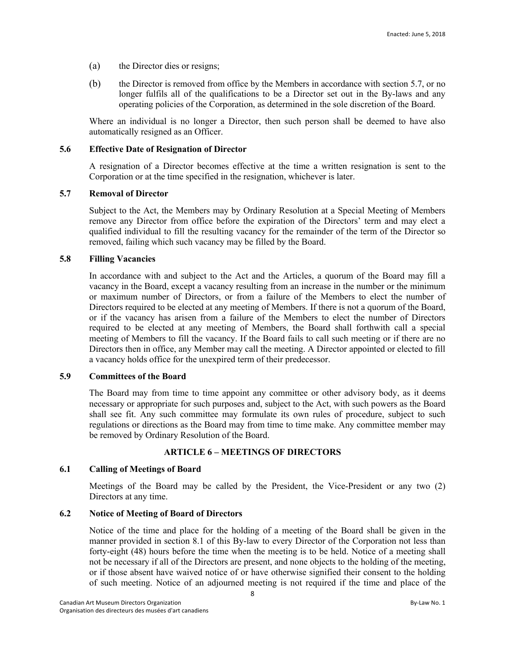- (a) the Director dies or resigns;
- (b) the Director is removed from office by the Members in accordance with section 5.7, or no longer fulfils all of the qualifications to be a Director set out in the By-laws and any operating policies of the Corporation, as determined in the sole discretion of the Board.

Where an individual is no longer a Director, then such person shall be deemed to have also automatically resigned as an Officer.

# **5.6 Effective Date of Resignation of Director**

A resignation of a Director becomes effective at the time a written resignation is sent to the Corporation or at the time specified in the resignation, whichever is later.

#### **5.7 Removal of Director**

Subject to the Act, the Members may by Ordinary Resolution at a Special Meeting of Members remove any Director from office before the expiration of the Directors' term and may elect a qualified individual to fill the resulting vacancy for the remainder of the term of the Director so removed, failing which such vacancy may be filled by the Board.

# **5.8 Filling Vacancies**

In accordance with and subject to the Act and the Articles, a quorum of the Board may fill a vacancy in the Board, except a vacancy resulting from an increase in the number or the minimum or maximum number of Directors, or from a failure of the Members to elect the number of Directors required to be elected at any meeting of Members. If there is not a quorum of the Board, or if the vacancy has arisen from a failure of the Members to elect the number of Directors required to be elected at any meeting of Members, the Board shall forthwith call a special meeting of Members to fill the vacancy. If the Board fails to call such meeting or if there are no Directors then in office, any Member may call the meeting. A Director appointed or elected to fill a vacancy holds office for the unexpired term of their predecessor.

# **5.9 Committees of the Board**

The Board may from time to time appoint any committee or other advisory body, as it deems necessary or appropriate for such purposes and, subject to the Act, with such powers as the Board shall see fit. Any such committee may formulate its own rules of procedure, subject to such regulations or directions as the Board may from time to time make. Any committee member may be removed by Ordinary Resolution of the Board.

# **ARTICLE 6 – MEETINGS OF DIRECTORS**

# **6.1 Calling of Meetings of Board**

Meetings of the Board may be called by the President, the Vice-President or any two (2) Directors at any time.

# **6.2 Notice of Meeting of Board of Directors**

Notice of the time and place for the holding of a meeting of the Board shall be given in the manner provided in section 8.1 of this By-law to every Director of the Corporation not less than forty-eight (48) hours before the time when the meeting is to be held. Notice of a meeting shall not be necessary if all of the Directors are present, and none objects to the holding of the meeting, or if those absent have waived notice of or have otherwise signified their consent to the holding of such meeting. Notice of an adjourned meeting is not required if the time and place of the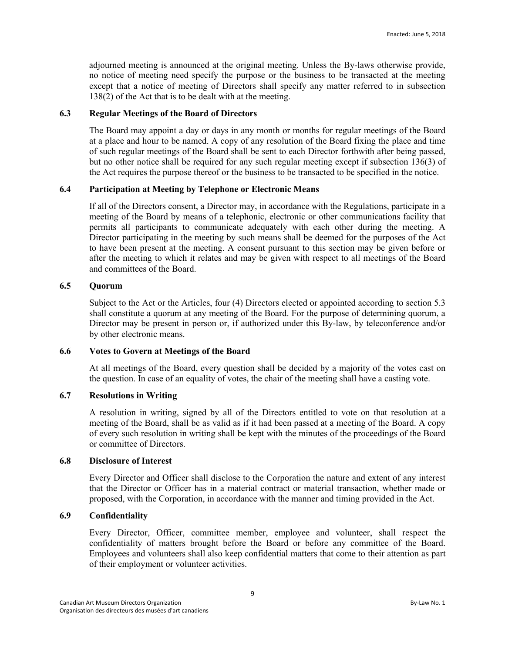adjourned meeting is announced at the original meeting. Unless the By-laws otherwise provide, no notice of meeting need specify the purpose or the business to be transacted at the meeting except that a notice of meeting of Directors shall specify any matter referred to in subsection 138(2) of the Act that is to be dealt with at the meeting.

# **6.3 Regular Meetings of the Board of Directors**

The Board may appoint a day or days in any month or months for regular meetings of the Board at a place and hour to be named. A copy of any resolution of the Board fixing the place and time of such regular meetings of the Board shall be sent to each Director forthwith after being passed, but no other notice shall be required for any such regular meeting except if subsection 136(3) of the Act requires the purpose thereof or the business to be transacted to be specified in the notice.

#### **6.4 Participation at Meeting by Telephone or Electronic Means**

If all of the Directors consent, a Director may, in accordance with the Regulations, participate in a meeting of the Board by means of a telephonic, electronic or other communications facility that permits all participants to communicate adequately with each other during the meeting. A Director participating in the meeting by such means shall be deemed for the purposes of the Act to have been present at the meeting. A consent pursuant to this section may be given before or after the meeting to which it relates and may be given with respect to all meetings of the Board and committees of the Board.

# **6.5 Quorum**

Subject to the Act or the Articles, four (4) Directors elected or appointed according to section 5.3 shall constitute a quorum at any meeting of the Board. For the purpose of determining quorum, a Director may be present in person or, if authorized under this By-law, by teleconference and/or by other electronic means.

#### **6.6 Votes to Govern at Meetings of the Board**

At all meetings of the Board, every question shall be decided by a majority of the votes cast on the question. In case of an equality of votes, the chair of the meeting shall have a casting vote.

# **6.7 Resolutions in Writing**

A resolution in writing, signed by all of the Directors entitled to vote on that resolution at a meeting of the Board, shall be as valid as if it had been passed at a meeting of the Board. A copy of every such resolution in writing shall be kept with the minutes of the proceedings of the Board or committee of Directors.

#### **6.8 Disclosure of Interest**

Every Director and Officer shall disclose to the Corporation the nature and extent of any interest that the Director or Officer has in a material contract or material transaction, whether made or proposed, with the Corporation, in accordance with the manner and timing provided in the Act.

#### **6.9 Confidentiality**

Every Director, Officer, committee member, employee and volunteer, shall respect the confidentiality of matters brought before the Board or before any committee of the Board. Employees and volunteers shall also keep confidential matters that come to their attention as part of their employment or volunteer activities.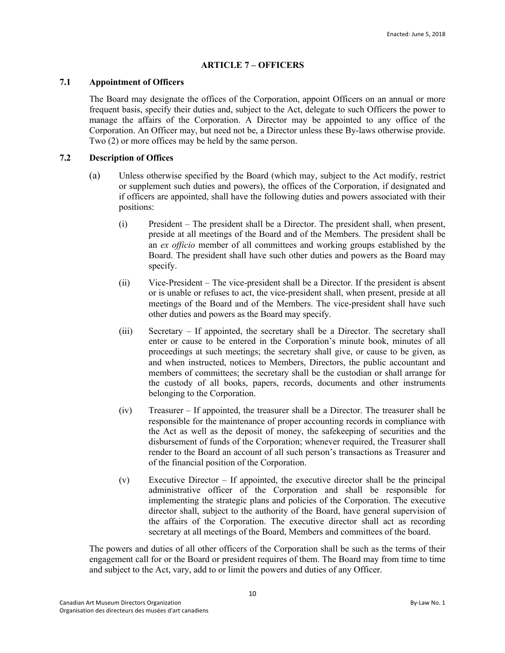# **ARTICLE 7 – OFFICERS**

# **7.1 Appointment of Officers**

The Board may designate the offices of the Corporation, appoint Officers on an annual or more frequent basis, specify their duties and, subject to the Act, delegate to such Officers the power to manage the affairs of the Corporation. A Director may be appointed to any office of the Corporation. An Officer may, but need not be, a Director unless these By-laws otherwise provide. Two (2) or more offices may be held by the same person.

# **7.2 Description of Offices**

- (a) Unless otherwise specified by the Board (which may, subject to the Act modify, restrict or supplement such duties and powers), the offices of the Corporation, if designated and if officers are appointed, shall have the following duties and powers associated with their positions:
	- (i) President The president shall be a Director. The president shall, when present, preside at all meetings of the Board and of the Members. The president shall be an *ex officio* member of all committees and working groups established by the Board. The president shall have such other duties and powers as the Board may specify.
	- (ii) Vice-President The vice-president shall be a Director. If the president is absent or is unable or refuses to act, the vice-president shall, when present, preside at all meetings of the Board and of the Members. The vice-president shall have such other duties and powers as the Board may specify.
	- (iii) Secretary If appointed, the secretary shall be a Director. The secretary shall enter or cause to be entered in the Corporation's minute book, minutes of all proceedings at such meetings; the secretary shall give, or cause to be given, as and when instructed, notices to Members, Directors, the public accountant and members of committees; the secretary shall be the custodian or shall arrange for the custody of all books, papers, records, documents and other instruments belonging to the Corporation.
	- (iv) Treasurer If appointed, the treasurer shall be a Director. The treasurer shall be responsible for the maintenance of proper accounting records in compliance with the Act as well as the deposit of money, the safekeeping of securities and the disbursement of funds of the Corporation; whenever required, the Treasurer shall render to the Board an account of all such person's transactions as Treasurer and of the financial position of the Corporation.
	- (v) Executive Director If appointed, the executive director shall be the principal administrative officer of the Corporation and shall be responsible for implementing the strategic plans and policies of the Corporation. The executive director shall, subject to the authority of the Board, have general supervision of the affairs of the Corporation. The executive director shall act as recording secretary at all meetings of the Board, Members and committees of the board.

The powers and duties of all other officers of the Corporation shall be such as the terms of their engagement call for or the Board or president requires of them. The Board may from time to time and subject to the Act, vary, add to or limit the powers and duties of any Officer.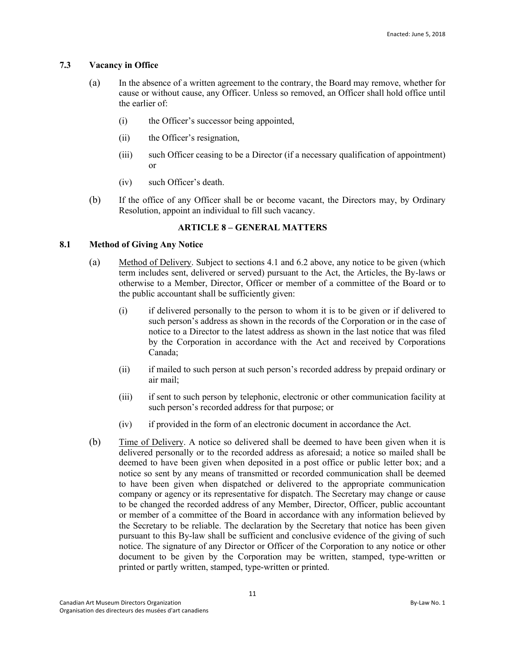# **7.3 Vacancy in Office**

- (a) In the absence of a written agreement to the contrary, the Board may remove, whether for cause or without cause, any Officer. Unless so removed, an Officer shall hold office until the earlier of:
	- (i) the Officer's successor being appointed,
	- (ii) the Officer's resignation,
	- (iii) such Officer ceasing to be a Director (if a necessary qualification of appointment) or
	- (iv) such Officer's death.
- (b) If the office of any Officer shall be or become vacant, the Directors may, by Ordinary Resolution, appoint an individual to fill such vacancy.

# **ARTICLE 8 – GENERAL MATTERS**

# **8.1 Method of Giving Any Notice**

- (a) Method of Delivery. Subject to sections 4.1 and 6.2 above, any notice to be given (which term includes sent, delivered or served) pursuant to the Act, the Articles, the By-laws or otherwise to a Member, Director, Officer or member of a committee of the Board or to the public accountant shall be sufficiently given:
	- (i) if delivered personally to the person to whom it is to be given or if delivered to such person's address as shown in the records of the Corporation or in the case of notice to a Director to the latest address as shown in the last notice that was filed by the Corporation in accordance with the Act and received by Corporations Canada;
	- (ii) if mailed to such person at such person's recorded address by prepaid ordinary or air mail;
	- (iii) if sent to such person by telephonic, electronic or other communication facility at such person's recorded address for that purpose; or
	- (iv) if provided in the form of an electronic document in accordance the Act.
- (b) Time of Delivery. A notice so delivered shall be deemed to have been given when it is delivered personally or to the recorded address as aforesaid; a notice so mailed shall be deemed to have been given when deposited in a post office or public letter box; and a notice so sent by any means of transmitted or recorded communication shall be deemed to have been given when dispatched or delivered to the appropriate communication company or agency or its representative for dispatch. The Secretary may change or cause to be changed the recorded address of any Member, Director, Officer, public accountant or member of a committee of the Board in accordance with any information believed by the Secretary to be reliable. The declaration by the Secretary that notice has been given pursuant to this By-law shall be sufficient and conclusive evidence of the giving of such notice. The signature of any Director or Officer of the Corporation to any notice or other document to be given by the Corporation may be written, stamped, type-written or printed or partly written, stamped, type-written or printed.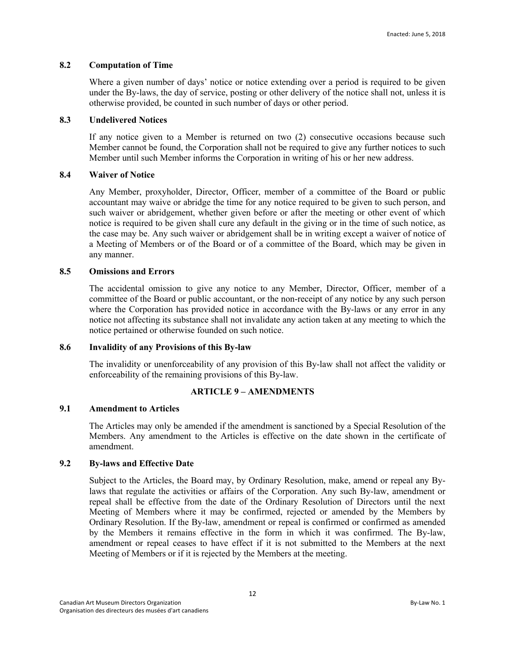# **8.2 Computation of Time**

Where a given number of days' notice or notice extending over a period is required to be given under the By-laws, the day of service, posting or other delivery of the notice shall not, unless it is otherwise provided, be counted in such number of days or other period.

# **8.3 Undelivered Notices**

If any notice given to a Member is returned on two (2) consecutive occasions because such Member cannot be found, the Corporation shall not be required to give any further notices to such Member until such Member informs the Corporation in writing of his or her new address.

# **8.4 Waiver of Notice**

Any Member, proxyholder, Director, Officer, member of a committee of the Board or public accountant may waive or abridge the time for any notice required to be given to such person, and such waiver or abridgement, whether given before or after the meeting or other event of which notice is required to be given shall cure any default in the giving or in the time of such notice, as the case may be. Any such waiver or abridgement shall be in writing except a waiver of notice of a Meeting of Members or of the Board or of a committee of the Board, which may be given in any manner.

# **8.5 Omissions and Errors**

The accidental omission to give any notice to any Member, Director, Officer, member of a committee of the Board or public accountant, or the non-receipt of any notice by any such person where the Corporation has provided notice in accordance with the By-laws or any error in any notice not affecting its substance shall not invalidate any action taken at any meeting to which the notice pertained or otherwise founded on such notice.

# **8.6 Invalidity of any Provisions of this By-law**

The invalidity or unenforceability of any provision of this By-law shall not affect the validity or enforceability of the remaining provisions of this By-law.

# **ARTICLE 9 – AMENDMENTS**

# **9.1 Amendment to Articles**

The Articles may only be amended if the amendment is sanctioned by a Special Resolution of the Members. Any amendment to the Articles is effective on the date shown in the certificate of amendment.

# **9.2 By-laws and Effective Date**

Subject to the Articles, the Board may, by Ordinary Resolution, make, amend or repeal any Bylaws that regulate the activities or affairs of the Corporation. Any such By-law, amendment or repeal shall be effective from the date of the Ordinary Resolution of Directors until the next Meeting of Members where it may be confirmed, rejected or amended by the Members by Ordinary Resolution. If the By-law, amendment or repeal is confirmed or confirmed as amended by the Members it remains effective in the form in which it was confirmed. The By-law, amendment or repeal ceases to have effect if it is not submitted to the Members at the next Meeting of Members or if it is rejected by the Members at the meeting.